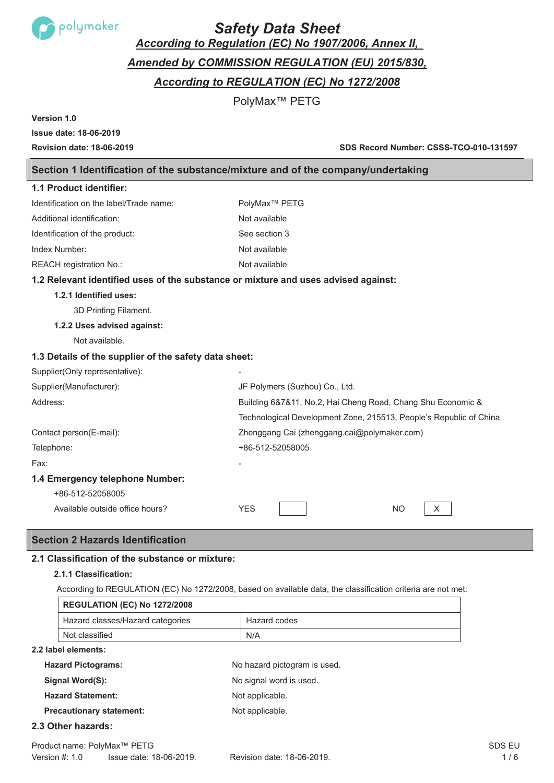

# *Safety Data Sheet*

*According to Regulation (EC) No 1907/2006, Annex II,*

*Amended by COMMISSION REGULATION (EU) 2015/830,* 

*According to REGULATION (EC) No 1272/2008* 

PolyMax™ PETG

**Version 1.0**

# **Issue date: 18-06-2019**

**Revision date: 18-06-2019 SDS Record Number: CSSS-TCO-010-131597**

# **Section 1 Identification of the substance/mixture and of the company/undertaking**

| 1.1 Product identifier:                                                            |                                                                    |
|------------------------------------------------------------------------------------|--------------------------------------------------------------------|
| Identification on the label/Trade name:                                            | PolyMax <sup>™</sup> PETG                                          |
| Additional identification:                                                         | Not available                                                      |
| Identification of the product:                                                     | See section 3                                                      |
| Index Number:                                                                      | Not available                                                      |
| REACH registration No.:                                                            | Not available                                                      |
| 1.2 Relevant identified uses of the substance or mixture and uses advised against: |                                                                    |
| 1.2.1 Identified uses:                                                             |                                                                    |
| 3D Printing Filament.                                                              |                                                                    |
| 1.2.2 Uses advised against:                                                        |                                                                    |
| Not available.                                                                     |                                                                    |
| 1.3 Details of the supplier of the safety data sheet:                              |                                                                    |
| Supplier(Only representative):                                                     |                                                                    |
| Supplier(Manufacturer):                                                            | JF Polymers (Suzhou) Co., Ltd.                                     |
| Address:                                                                           | Building 6&7&11, No.2, Hai Cheng Road, Chang Shu Economic &        |
|                                                                                    | Technological Development Zone, 215513, People's Republic of China |
| Contact person(E-mail):                                                            | Zhenggang Cai (zhenggang.cai@polymaker.com)                        |
| Telephone:                                                                         | +86-512-52058005                                                   |
| Fax:                                                                               |                                                                    |
| 1.4 Emergency telephone Number:                                                    |                                                                    |
| +86-512-52058005                                                                   |                                                                    |
| Available outside office hours?                                                    | <b>YES</b><br>N <sub>O</sub><br>X                                  |

# **Section 2 Hazards Identification**

# **2.1 Classification of the substance or mixture:**

## **2.1.1 Classification:**

According to REGULATION (EC) No 1272/2008, based on available data, the classification criteria are not met:

| <b>REGULATION (EC) No 1272/2008</b> |              |
|-------------------------------------|--------------|
| Hazard classes/Hazard categories    | Hazard codes |
| Not classified                      | N/A          |

## **2.2 label elements:**

| <b>Hazard Pictograms:</b>       | No hazard pictogram is used. |
|---------------------------------|------------------------------|
| Signal Word(S):                 | No signal word is used.      |
| <b>Hazard Statement:</b>        | Not applicable.              |
| <b>Precautionary statement:</b> | Not applicable.              |

## **2.3 Other hazards:**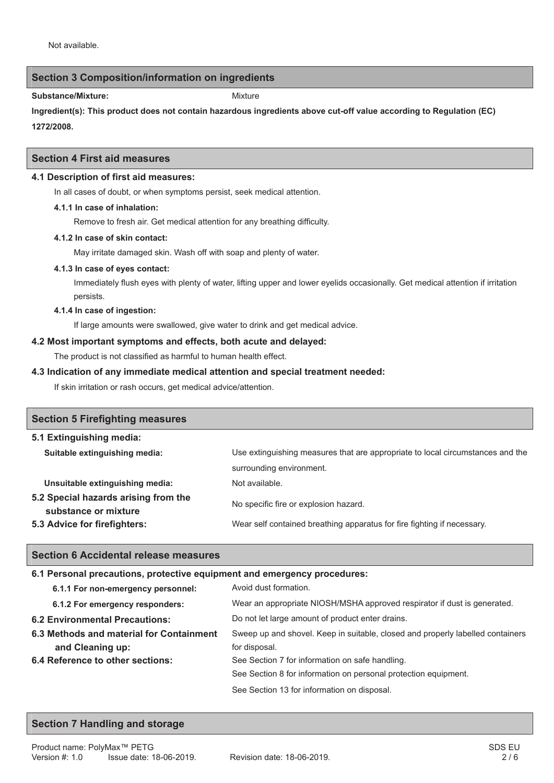## **Section 3 Composition/information on ingredients**

Substance/Mixture: Mixture: Mixture Mixture

**Ingredient(s): This product does not contain hazardous ingredients above cut-off value according to Regulation (EC) 1272/2008.**

## **Section 4 First aid measures**

#### **4.1 Description of first aid measures:**

In all cases of doubt, or when symptoms persist, seek medical attention.

#### **4.1.1 In case of inhalation:**

Remove to fresh air. Get medical attention for any breathing difficulty.

#### **4.1.2 In case of skin contact:**

May irritate damaged skin. Wash off with soap and plenty of water.

#### **4.1.3 In case of eyes contact:**

Immediately flush eyes with plenty of water, lifting upper and lower eyelids occasionally. Get medical attention if irritation persists.

#### **4.1.4 In case of ingestion:**

If large amounts were swallowed, give water to drink and get medical advice.

#### **4.2 Most important symptoms and effects, both acute and delayed:**

The product is not classified as harmful to human health effect.

#### **4.3 Indication of any immediate medical attention and special treatment needed:**

If skin irritation or rash occurs, get medical advice/attention.

| <b>Section 5 Firefighting measures</b>                       |                                                                                |
|--------------------------------------------------------------|--------------------------------------------------------------------------------|
| 5.1 Extinguishing media:                                     |                                                                                |
| Suitable extinguishing media:                                | Use extinguishing measures that are appropriate to local circumstances and the |
|                                                              | surrounding environment.                                                       |
| Unsuitable extinguishing media:                              | Not available.                                                                 |
| 5.2 Special hazards arising from the<br>substance or mixture | No specific fire or explosion hazard.                                          |
| 5.3 Advice for firefighters:                                 | Wear self contained breathing apparatus for fire fighting if necessary.        |

## **Section 6 Accidental release measures**

## **6.1 Personal precautions, protective equipment and emergency procedures:**

| 6.1.1 For non-emergency personnel:       | Avoid dust formation.                                                          |
|------------------------------------------|--------------------------------------------------------------------------------|
| 6.1.2 For emergency responders:          | Wear an appropriate NIOSH/MSHA approved respirator if dust is generated.       |
| <b>6.2 Environmental Precautions:</b>    | Do not let large amount of product enter drains.                               |
| 6.3 Methods and material for Containment | Sweep up and shovel. Keep in suitable, closed and properly labelled containers |
| and Cleaning up:                         | for disposal.                                                                  |
| 6.4 Reference to other sections:         | See Section 7 for information on safe handling.                                |
|                                          | See Section 8 for information on personal protection equipment.                |
|                                          | See Section 13 for information on disposal.                                    |

## **Section 7 Handling and storage**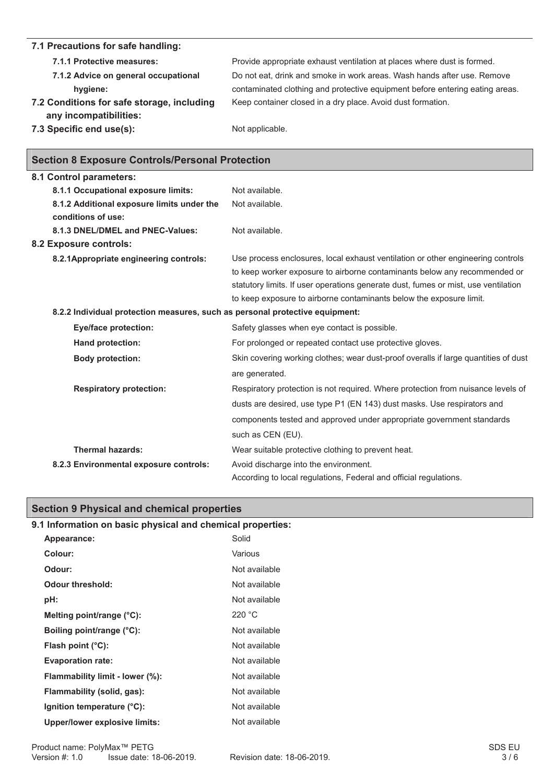#### **7.1 Precautions for safe handling: 7.1.1 Protective measures:** Provide appropriate exhaust ventilation at places where dust is formed. **7.1.2 Advice on general occupational hygiene:** Do not eat, drink and smoke in work areas. Wash hands after use. Remove contaminated clothing and protective equipment before entering eating areas. **7.2 Conditions for safe storage, including any incompatibilities:**  Keep container closed in a dry place. Avoid dust formation. **7.3 Specific end use(s):** Not applicable.

|  |  | <b>Section 8 Exposure Controls/Personal Protection</b> |  |
|--|--|--------------------------------------------------------|--|
|--|--|--------------------------------------------------------|--|

| 8.1 Control parameters:                                                      |                                                                                     |
|------------------------------------------------------------------------------|-------------------------------------------------------------------------------------|
| 8.1.1 Occupational exposure limits:                                          | Not available.                                                                      |
| 8.1.2 Additional exposure limits under the                                   | Not available.                                                                      |
| conditions of use:                                                           |                                                                                     |
| 8.1.3 DNEL/DMEL and PNEC-Values:                                             | Not available.                                                                      |
| <b>8.2 Exposure controls:</b>                                                |                                                                                     |
| 8.2.1 Appropriate engineering controls:                                      | Use process enclosures, local exhaust ventilation or other engineering controls     |
|                                                                              | to keep worker exposure to airborne contaminants below any recommended or           |
|                                                                              | statutory limits. If user operations generate dust, fumes or mist, use ventilation  |
|                                                                              | to keep exposure to airborne contaminants below the exposure limit.                 |
| 8.2.2 Individual protection measures, such as personal protective equipment: |                                                                                     |
| Eye/face protection:                                                         | Safety glasses when eye contact is possible.                                        |
| Hand protection:                                                             | For prolonged or repeated contact use protective gloves.                            |
| <b>Body protection:</b>                                                      | Skin covering working clothes; wear dust-proof overalls if large quantities of dust |
|                                                                              | are generated.                                                                      |
| <b>Respiratory protection:</b>                                               | Respiratory protection is not required. Where protection from nuisance levels of    |
|                                                                              | dusts are desired, use type P1 (EN 143) dust masks. Use respirators and             |
|                                                                              | components tested and approved under appropriate government standards               |
|                                                                              | such as CEN (EU).                                                                   |
| <b>Thermal hazards:</b>                                                      | Wear suitable protective clothing to prevent heat.                                  |
| 8.2.3 Environmental exposure controls:                                       | Avoid discharge into the environment.                                               |
|                                                                              | According to local regulations, Federal and official regulations.                   |

# **Section 9 Physical and chemical properties**

# **9.1 Information on basic physical and chemical properties:**

| Appearance:                          | Solid         |
|--------------------------------------|---------------|
| Colour:                              | Various       |
| Odour:                               | Not available |
| Odour threshold:                     | Not available |
| pH:                                  | Not available |
| Melting point/range $(^{\circ}C)$ :  | 220 °C        |
| Boiling point/range (°C):            | Not available |
| Flash point $(^{\circ}C)$ :          | Not available |
| <b>Evaporation rate:</b>             | Not available |
| Flammability limit - lower (%):      | Not available |
| Flammability (solid, gas):           | Not available |
| Ignition temperature (°C):           | Not available |
| <b>Upper/lower explosive limits:</b> | Not available |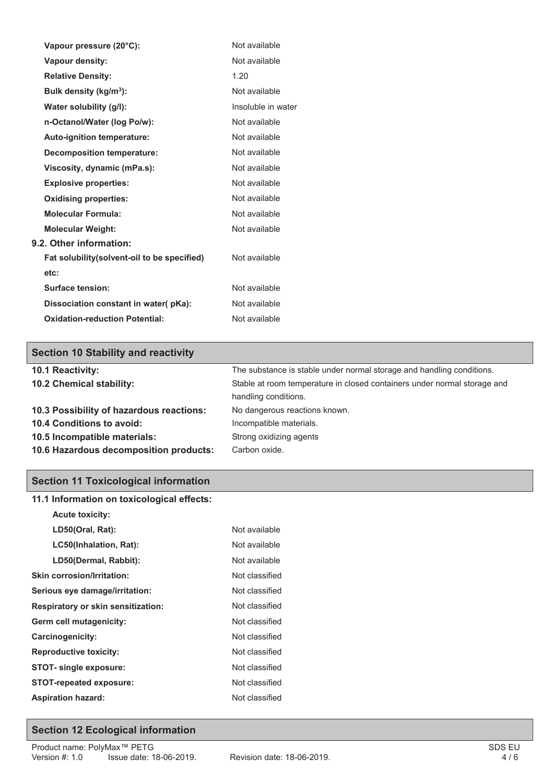| Vapour pressure (20°C):                      | Not available      |
|----------------------------------------------|--------------------|
| <b>Vapour density:</b>                       | Not available      |
| <b>Relative Density:</b>                     | 1.20               |
| Bulk density (kg/m <sup>3</sup> ):           | Not available      |
| Water solubility (g/l):                      | Insoluble in water |
| n-Octanol/Water (log Po/w):                  | Not available      |
| <b>Auto-ignition temperature:</b>            | Not available      |
| <b>Decomposition temperature:</b>            | Not available      |
| Viscosity, dynamic (mPa.s):                  | Not available      |
| <b>Explosive properties:</b>                 | Not available      |
| <b>Oxidising properties:</b>                 | Not available      |
| <b>Molecular Formula:</b>                    | Not available      |
| <b>Molecular Weight:</b>                     | Not available      |
| 9.2. Other information:                      |                    |
| Fat solubility (solvent-oil to be specified) | Not available      |
| etc:                                         |                    |
| Surface tension:                             | Not available      |
| Dissociation constant in water(pKa):         | Not available      |
| <b>Oxidation-reduction Potential:</b>        | Not available      |

# **Section 10 Stability and reactivity**

| 10.1 Reactivity:                         | The substance is stable under normal storage and handling conditions.    |  |
|------------------------------------------|--------------------------------------------------------------------------|--|
| 10.2 Chemical stability:                 | Stable at room temperature in closed containers under normal storage and |  |
|                                          | handling conditions.                                                     |  |
| 10.3 Possibility of hazardous reactions: | No dangerous reactions known.                                            |  |
| 10.4 Conditions to avoid:                | Incompatible materials.                                                  |  |
| 10.5 Incompatible materials:             | Strong oxidizing agents                                                  |  |
| 10.6 Hazardous decomposition products:   | Carbon oxide.                                                            |  |

# **Section 11 Toxicological information**

| 11.1 Information on toxicological effects: |  |  |
|--------------------------------------------|--|--|
|                                            |  |  |
| Not available                              |  |  |
| Not available                              |  |  |
| Not available                              |  |  |
| Not classified                             |  |  |
| Not classified                             |  |  |
| Not classified                             |  |  |
| Not classified                             |  |  |
| Not classified                             |  |  |
| Not classified                             |  |  |
| Not classified                             |  |  |
| Not classified                             |  |  |
|                                            |  |  |
|                                            |  |  |

# **Section 12 Ecological information**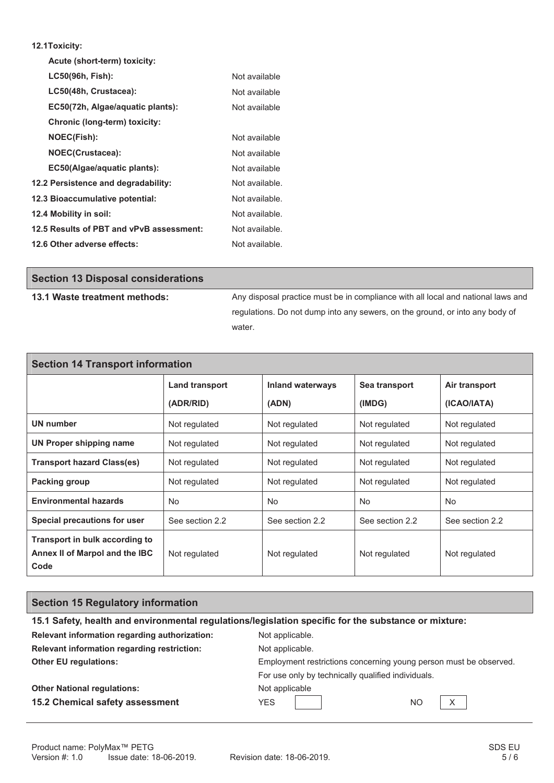#### **12.1Toxicity:**

| Acute (short-term) toxicity:             |                |
|------------------------------------------|----------------|
| LC50(96h, Fish):                         | Not available  |
| LC50(48h, Crustacea):                    | Not available  |
| EC50(72h, Algae/aquatic plants):         | Not available  |
| Chronic (long-term) toxicity:            |                |
| <b>NOEC(Fish):</b>                       | Not available  |
| NOEC(Crustacea):                         | Not available  |
| EC50(Algae/aquatic plants):              | Not available  |
| 12.2 Persistence and degradability:      | Not available. |
| 12.3 Bioaccumulative potential:          | Not available. |
| 12.4 Mobility in soil:                   | Not available. |
| 12.5 Results of PBT and vPvB assessment: | Not available. |
| 12.6 Other adverse effects:              | Not available. |

| <b>Section 13 Disposal considerations</b> |                                                                                  |
|-------------------------------------------|----------------------------------------------------------------------------------|
| 13.1 Waste treatment methods:             | Any disposal practice must be in compliance with all local and national laws and |
|                                           | regulations. Do not dump into any sewers, on the ground, or into any body of     |
|                                           | water.                                                                           |

| <b>Section 14 Transport information</b>                                  |                 |                         |                 |                 |  |
|--------------------------------------------------------------------------|-----------------|-------------------------|-----------------|-----------------|--|
|                                                                          | Land transport  | <b>Inland waterways</b> | Sea transport   | Air transport   |  |
|                                                                          | (ADR/RID)       | (ADN)                   | (IMDG)          | (ICAO/IATA)     |  |
| UN number                                                                | Not regulated   | Not regulated           | Not regulated   | Not regulated   |  |
| UN Proper shipping name                                                  | Not regulated   | Not regulated           | Not regulated   | Not regulated   |  |
| <b>Transport hazard Class(es)</b>                                        | Not regulated   | Not regulated           | Not regulated   | Not regulated   |  |
| Packing group                                                            | Not regulated   | Not regulated           | Not regulated   | Not regulated   |  |
| <b>Environmental hazards</b>                                             | <b>No</b>       | No.                     | <b>No</b>       | No.             |  |
| Special precautions for user                                             | See section 2.2 | See section 2.2         | See section 2.2 | See section 2.2 |  |
| Transport in bulk according to<br>Annex II of Marpol and the IBC<br>Code | Not regulated   | Not regulated           | Not regulated   | Not regulated   |  |

# **Section 15 Regulatory information**

| 15.1 Safety, health and environmental regulations/legislation specific for the substance or mixture: |                                                                   |  |  |
|------------------------------------------------------------------------------------------------------|-------------------------------------------------------------------|--|--|
| Relevant information regarding authorization:                                                        | Not applicable.                                                   |  |  |
| Relevant information regarding restriction:                                                          | Not applicable.                                                   |  |  |
| <b>Other EU regulations:</b>                                                                         | Employment restrictions concerning young person must be observed. |  |  |
|                                                                                                      | For use only by technically qualified individuals.                |  |  |
| <b>Other National regulations:</b>                                                                   | Not applicable                                                    |  |  |
| 15.2 Chemical safety assessment                                                                      | X<br><b>YES</b><br><b>NO</b>                                      |  |  |